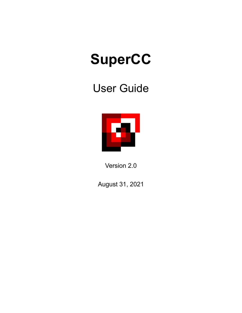# **SuperCC**

# User Guide



Version 2.0

August 31, 2021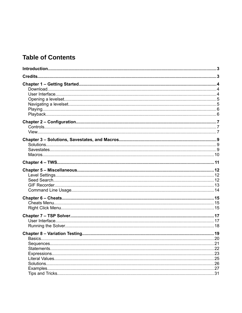# **Table of Contents**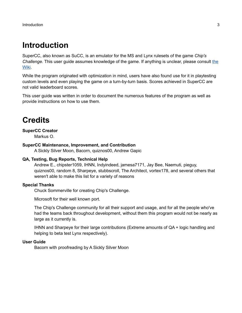# <span id="page-2-0"></span>**Introduction**

SuperCC, also known as SuCC, is an emulator for the MS and Lynx rulesets of the game *Chip's Challenge.* This user guide assumes knowledge of the game. If anything is unclear, please consult [the](https://wiki.bitbusters.club/) [Wiki.](https://wiki.bitbusters.club/)

While the program originated with optimization in mind, users have also found use for it in playtesting custom levels and even playing the game on a turn-by-turn basis. Scores achieved in SuperCC are not valid leaderboard scores.

This user guide was written in order to document the numerous features of the program as well as provide instructions on how to use them.

# <span id="page-2-1"></span>**Credits**

#### **SuperCC Creator**

Markus O.

#### **SuperCC Maintenance, Improvement, and Contribution**

A Sickly Silver Moon, Bacorn, quiznos00, Andrew Gapic

#### **QA, Testing, Bug Reports, Technical Help**

Andrew E., chipster1059, IHNN, Indyindeed, jamesa7171, Jay Bee, Naemuti, pieguy, quiznos00, random 8, Sharpeye, stubbscroll, The Architect, vortex178, and several others that weren't able to make this list for a variety of reasons

#### **Special Thanks**

Chuck Sommerville for creating Chip's Challenge.

Microsoft for their well known port.

The Chip's Challenge community for all their support and usage, and for all the people who've had the teams back throughout development, without them this program would not be nearly as large as it currently is.

IHNN and Sharpeye for their large contributions (Extreme amounts of QA + logic handling and helping to beta test Lynx respectively).

#### **User Guide**

Bacorn with proofreading by A Sickly Silver Moon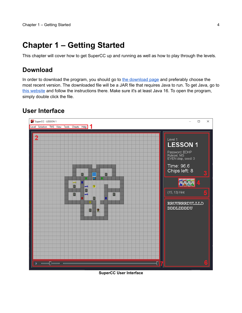# <span id="page-3-2"></span>**Chapter 1 – Getting Started**

This chapter will cover how to get SuperCC up and running as well as how to play through the levels.

## <span id="page-3-1"></span>**Download**

In order to download the program, you should go to [the download page](https://supercc.bitbusters.club/#download) and preferably choose the most recent version. The downloaded file will be a JAR file that requires Java to run. To get Java, go to [this website](https://www.oracle.com/java/technologies/javase-downloads.html) and follow the instructions there. Make sure it's at least Java 16. To open the program, simply double click the file.

# <span id="page-3-0"></span>**User Interface**



**SuperCC User Interface**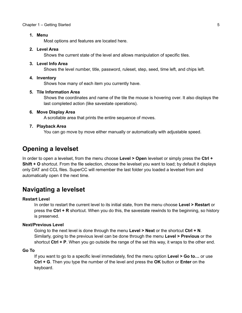#### Chapter 1 – Getting Started 5 States 6 and 5 States 6 and 5 States 6 and 5 States 6 and 5 States 6 and 5 States 6 and 5 States 6 and 5 and 5 States 6 and 5 and 5 States 6 and 5 and 5 and 5 and 5 and 5 and 5 and 5 and 5 and

#### **1. Menu**

Most options and features are located here.

#### **2. Level Area**

Shows the current state of the level and allows manipulation of specific tiles.

#### **3. Level Info Area**

Shows the level number, title, password, ruleset, step, seed, time left, and chips left.

#### **4. Inventory**

Shows how many of each item you currently have.

#### **5. Tile Information Area**

Shows the coordinates and name of the tile the mouse is hovering over. It also displays the last completed action (like savestate operations).

#### **6. Move Display Area**

A scrollable area that prints the entire sequence of moves.

#### **7. Playback Area**

You can go move by move either manually or automatically with adjustable speed.

### <span id="page-4-1"></span>**Opening a levelset**

In order to open a levelset, from the menu choose **Level > Open** levelset or simply press the **Ctrl + Shift + O** shortcut. From the file selection, choose the levelset you want to load; by default it displays only DAT and CCL files. SuperCC will remember the last folder you loaded a levelset from and automatically open it the next time.

### <span id="page-4-0"></span>**Navigating a levelset**

#### **Restart Level**

In order to restart the current level to its initial state, from the menu choose **Level > Restart** or press the **Ctrl + R** shortcut. When you do this, the savestate rewinds to the beginning, so history is preserved.

#### **Next/Previous Level**

Going to the next level is done through the menu **Level > Next** or the shortcut **Ctrl + N**. Similarly, going to the previous level can be done through the menu **Level > Previous** or the shortcut **Ctrl + P**. When you go outside the range of the set this way, it wraps to the other end.

#### **Go To**

If you want to go to a specific level immediately, find the menu option **Level > Go to…** or use **Ctrl + G**. Then you type the number of the level and press the **OK** button or **Enter** on the keyboard.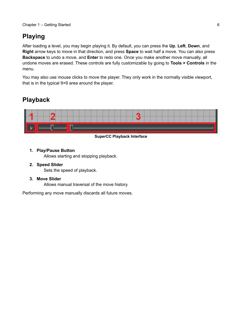# <span id="page-5-1"></span>**Playing**

After loading a level, you may begin playing it. By default, you can press the **Up**, **Left**, **Down**, and **Right** arrow keys to move in that direction, and press **Space** to wait half a move. You can also press **Backspace** to undo a move, and **Enter** to redo one. Once you make another move manually, all undone moves are erased. These controls are fully customizable by going to **Tools > Controls** in the menu.

You may also use mouse clicks to move the player. They only work in the normally visible viewport, that is in the typical 9×9 area around the player.

# <span id="page-5-0"></span>**Playback**



**SuperCC Playback Interface**

#### **1. Play/Pause Button**

Allows starting and stopping playback.

#### **2. Speed Slider**

Sets the speed of playback.

#### **3. Move Slider**

Allows manual traversal of the move history.

Performing any move manually discards all future moves.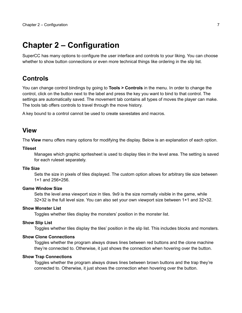# <span id="page-6-2"></span>**Chapter 2 – Configuration**

SuperCC has many options to configure the user interface and controls to your liking. You can choose whether to show button connections or even more technical things like ordering in the slip list.

### <span id="page-6-1"></span>**Controls**

You can change control bindings by going to **Tools > Controls** in the menu. In order to change the control, click on the button next to the label and press the key you want to bind to that control. The settings are automatically saved. The movement tab contains all types of moves the player can make. The tools tab offers controls to travel through the move history.

A key bound to a control cannot be used to create savestates and macros.

#### <span id="page-6-0"></span>**View**

The **View** menu offers many options for modifying the display. Below is an explanation of each option.

#### **Tileset**

Manages which graphic spritesheet is used to display tiles in the level area. The setting is saved for each ruleset separately.

#### **Tile Size**

Sets the size in pixels of tiles displayed. The custom option allows for arbitrary tile size between 1×1 and 256×256.

#### **Game Window Size**

Sets the level area viewport size in tiles. 9x9 is the size normally visible in the game, while 32×32 is the full level size. You can also set your own viewport size between 1×1 and 32×32.

#### **Show Monster List**

Toggles whether tiles display the monsters' position in the monster list.

#### **Show Slip List**

Toggles whether tiles display the tiles' position in the slip list. This includes blocks and monsters.

#### **Show Clone Connections**

Toggles whether the program always draws lines between red buttons and the clone machine they're connected to. Otherwise, it just shows the connection when hovering over the button.

#### **Show Trap Connections**

Toggles whether the program always draws lines between brown buttons and the trap they're connected to. Otherwise, it just shows the connection when hovering over the button.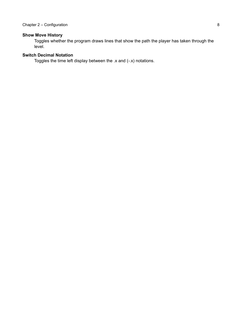#### **Show Move History**

Toggles whether the program draws lines that show the path the player has taken through the level.

#### **Switch Decimal Notation**

Toggles the time left display between the .x and (-.x) notations.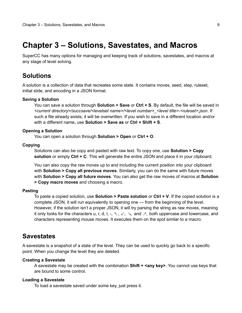# <span id="page-8-2"></span>**Chapter 3 – Solutions, Savestates, and Macros**

SuperCC has many options for managing and keeping track of solutions, savestates, and macros at any stage of level solving.

### <span id="page-8-1"></span>**Solutions**

A solution is a collection of data that recreates some state. It contains moves, seed, step, ruleset, initial slide, and encoding in a JSON format.

#### **Saving a Solution**

You can save a solution through **Solution > Save** or **Ctrl + S**. By default, the file will be saved in *<current directory>/succsave/<levelset name>/<level number>\_<level title>-<ruleset>.json*. If such a file already exists, it will be overwritten. If you wish to save in a different location and/or with a different name, use **Solution > Save as** or **Ctrl + Shift + S**.

#### **Opening a Solution**

You can open a solution through **Solution > Open** or **Ctrl + O**.

#### **Copying**

Solutions can also be copy and pasted with raw text. To copy one, use **Solution > Copy solution** or simply **Ctrl + C**. This will generate the entire JSON and place it in your clipboard.

You can also copy the raw moves up to and including the current position into your clipboard with **Solution > Copy all previous moves**. Similarly, you can do the same with future moves with **Solution > Copy all future moves**. You can also get the raw moves of macros at **Solution > Copy macro moves** and choosing a macro.

#### **Pasting**

To paste a copied solution, use **Solution > Paste solution** or **Ctrl + V**. If the copied solution is a complete JSON, it will run equivalently to opening one — from the beginning of the level. However, if the solution isn't a proper JSON, it will try parsing the string as raw moves, meaning it only looks for the characters u, r, d, l,  $-$ ,  $\leq$ ,  $\leq$ ,  $\leq$ ,  $\leq$ , and  $\leq$ , both uppercase and lowercase, and characters representing mouse moves. It executes them on the spot similar to a macro.

### <span id="page-8-0"></span>**Savestates**

A savestate is a snapshot of a state of the level. They can be used to quickly go back to a specific point. When you change the level they are deleted.

#### **Creating a Savestate**

A savestate may be created with the combination **Shift + <any key>**. You cannot use keys that are bound to some control.

#### **Loading a Savestate**

To load a savestate saved under some key, just press it.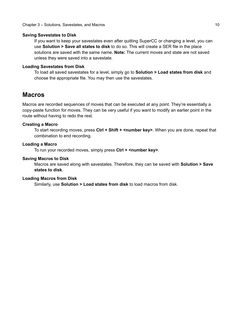#### **Saving Savestates to Disk**

If you want to keep your savestates even after quitting SuperCC or changing a level, you can use **Solution > Save all states to disk** to do so. This will create a SER file in the place solutions are saved with the same name. **Note:** The current moves and state are not saved unless they were saved into a savestate.

#### **Loading Savestates from Disk**

To load all saved savestates for a level, simply go to **Solution > Load states from disk** and choose the appropriate file. You may then use the savestates.

### <span id="page-9-0"></span>**Macros**

Macros are recorded sequences of moves that can be executed at any point. They're essentially a copy-paste function for moves. They can be very useful if you want to modify an earlier point in the route without having to redo the rest.

#### **Creating a Macro**

To start recording moves, press **Ctrl + Shift + <number key>**. When you are done, repeat that combination to end recording.

#### **Loading a Macro**

To run your recorded moves, simply press **Ctrl + <number key>**.

#### **Saving Macros to Disk**

Macros are saved along with savestates. Therefore, they can be saved with **Solution > Save states to disk**.

#### **Loading Macros from Disk**

Similarly, use **Solution > Load states from disk** to load macros from disk.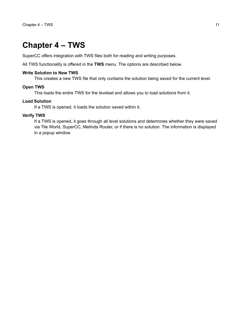# <span id="page-10-0"></span>**Chapter 4 – TWS**

SuperCC offers integration with TWS files both for reading and writing purposes.

All TWS functionality is offered in the **TWS** menu. The options are described below.

#### **Write Solution to New TWS**

This creates a new TWS file that only contains the solution being saved for the current level.

#### **Open TWS**

This loads the entire TWS for the levelset and allows you to load solutions from it.

#### **Load Solution**

If a TWS is opened, it loads the solution saved within it.

#### **Verify TWS**

If a TWS is opened, it goes through all level solutions and determines whether they were saved via Tile World, SuperCC, Melinda Router, or if there is no solution. The information is displayed in a popup window.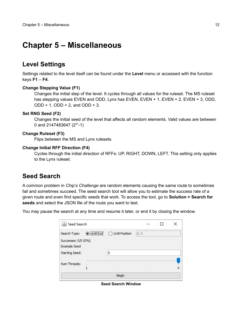# <span id="page-11-2"></span>**Chapter 5 – Miscellaneous**

# <span id="page-11-1"></span>**Level Settings**

Settings related to the level itself can be found under the **Level** menu or accessed with the function keys **F1** – **F4**.

#### **Change Stepping Value (F1)**

Changes the initial step of the level. It cycles through all values for the ruleset. The MS ruleset has stepping values EVEN and ODD, Lynx has EVEN, EVEN + 1, EVEN + 2, EVEN + 3, ODD,  $ODD + 1$ ,  $ODD + 2$ , and  $ODD + 3$ .

#### **Set RNG Seed (F2)**

Changes the initial seed of the level that affects all random elements. Valid values are between 0 and 2147483647  $(2^{31}-1)$ 

#### **Change Ruleset (F3)**

Flips between the MS and Lynx rulesets.

#### **Change Initial RFF Direction (F4)**

Cycles through the initial direction of RFFs: UP, RIGHT, DOWN, LEFT. This setting only applies to the Lynx ruleset.

### <span id="page-11-0"></span>**Seed Search**

A common problem in *Chip's Challenge* are random elements causing the same route to sometimes fail and sometimes succeed. The seed search tool will allow you to estimate the success rate of a given route and even find specific seeds that work. To access the tool, go to **Solution > Search for seeds** and select the JSON file of the route you want to test.

You may pause the search at any time and resume it later, or end it by closing the window.

|                                            |                         | Begin            |      |  |  |
|--------------------------------------------|-------------------------|------------------|------|--|--|
| Num Threads:                               |                         |                  |      |  |  |
| <b>Starting Seed:</b>                      |                         | 0                |      |  |  |
| Successes: 0/0 (0%)<br><b>Example Seed</b> |                         |                  |      |  |  |
| Search Type:                               | <br><b>◎ Until Exit</b> | ◯ Until Position | 0, 0 |  |  |
| Seed Search                                |                         |                  |      |  |  |

**Seed Search Window**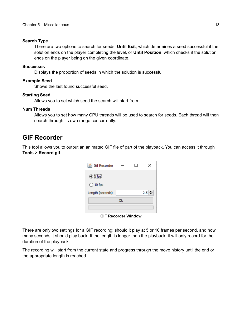#### **Search Type**

There are two options to search for seeds: **Until Exit**, which determines a seed successful if the solution ends on the player completing the level, or **Until Position**, which checks if the solution ends on the player being on the given coordinate.

#### **Successes**

Displays the proportion of seeds in which the solution is successful.

#### **Example Seed**

Shows the last found successful seed.

#### **Starting Seed**

Allows you to set which seed the search will start from.

#### **Num Threads**

Allows you to set how many CPU threads will be used to search for seeds. Each thread will then search through its own range concurrently.

### <span id="page-12-0"></span>**GIF Recorder**

This tool allows you to output an animated GIF file of part of the playback. You can access it through **Tools > Record gif**.

| <u>  ⑤</u> Gif Recorder |    | ×        |
|-------------------------|----|----------|
| $\odot$ 5 fps           |    |          |
| $\bigcirc$ 10 fps       |    |          |
| Length (seconds)        |    | 2.5<br>÷ |
|                         | Ok |          |
|                         |    |          |

**GIF Recorder Window**

There are only two settings for a GIF recording: should it play at 5 or 10 frames per second, and how many seconds it should play back. If the length is longer than the playback, it will only record for the duration of the playback.

The recording will start from the current state and progress through the move history until the end or the appropriate length is reached.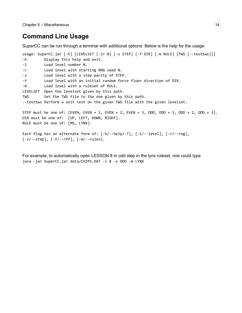# <span id="page-13-0"></span>**Command Line Usage**

SuperCC can be run through a terminal with additional options. Below is the help for the usage.

```
usage: SuperCC.jar [-h] [LEVELSET [-lr N] [-s STEP] [-f DIR] [-m RULE] [TWS [--testtws]]]
-h Display this help and exit.
-l Load level number N.
-r Load level with starting RNG seed N.
-s Load level with a step parity of STEP.
-f Load level with an initial random force floor direction of DIR.
-m Load level with a ruleset of RULE.
LEVELSET Open the levelset given by this path.
TWS Set the TWS file to the one given by this path.
--testtws Perform a unit test on the given TWS file with the given levelset.
STEP must be one of: [EVEN, EVEN + 1, EVEN + 2, EVEN + 3, ODD, ODD + 1, ODD + 2, ODD + 3].DIR must be one of: [UP, LEFT, DOWN, RIGHT].
RULE must be one of: [MS, LYNX].
```

```
Each flag has an alternate form of: [-h/--help/-?], [-l/--level], [-r/--rng],
[-s/--step], [-f/--rff], [-m/--rules].
```
For example, to automatically open LESSON 8 in odd step in the lynx ruleset, one could type java -jar SuperCC.jar data/CHIPS.DAT -l 8 -s ODD -m LYNX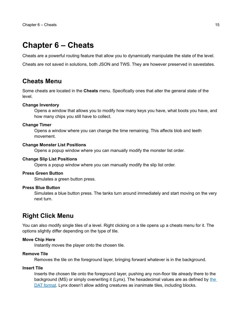# <span id="page-14-2"></span>**Chapter 6 – Cheats**

Cheats are a powerful routing feature that allow you to dynamically manipulate the state of the level.

Cheats are not saved in solutions, both JSON and TWS. They are however preserved in savestates.

### <span id="page-14-1"></span>**Cheats Menu**

Some cheats are located in the **Cheats** menu. Specifically ones that alter the general state of the level.

#### **Change Inventory**

Opens a window that allows you to modify how many keys you have, what boots you have, and how many chips you still have to collect.

#### **Change Timer**

Opens a window where you can change the time remaining. This affects blob and teeth movement.

#### **Change Monster List Positions**

Opens a popup window where you can manually modify the monster list order.

#### **Change Slip List Positions**

Opens a popup window where you can manually modify the slip list order.

#### **Press Green Button**

Simulates a green button press.

#### **Press Blue Button**

Simulates a blue button press. The tanks turn around immediately and start moving on the very next turn.

### <span id="page-14-0"></span>**Right Click Menu**

You can also modify single tiles of a level. Right clicking on a tile opens up a cheats menu for it. The options slightly differ depending on the type of tile.

#### **Move Chip Here**

Instantly moves the player onto the chosen tile.

#### **Remove Tile**

Removes the tile on the foreground layer, bringing forward whatever is in the background.

#### **Insert Tile**

Inserts the chosen tile onto the foreground layer, pushing any non-floor tile already there to the background (MS) or simply overwriting it (Lynx). The hexadecimal values are as defined by [the](https://wiki.bitbusters.club/DAT#Tile_encoding)  [DAT format.](https://wiki.bitbusters.club/DAT#Tile_encoding) Lynx doesn't allow adding creatures as inanimate tiles, including blocks.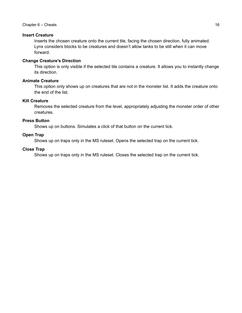#### Chapter 6 – Cheats 16

#### **Insert Creature**

Inserts the chosen creature onto the current tile, facing the chosen direction, fully animated. Lynx considers blocks to be creatures and doesn't allow tanks to be still when it can move forward.

#### **Change Creature's Direction**

This option is only visible if the selected tile contains a creature. It allows you to instantly change its direction.

#### **Animate Creature**

This option only shows up on creatures that are not in the monster list. It adds the creature onto the end of the list.

#### **Kill Creature**

Removes the selected creature from the level, appropriately adjusting the monster order of other creatures.

#### **Press Button**

Shows up on buttons. Simulates a click of that button on the current tick.

#### **Open Trap**

Shows up on traps only in the MS ruleset. Opens the selected trap on the current tick.

#### **Close Trap**

Shows up on traps only in the MS ruleset. Closes the selected trap on the current tick.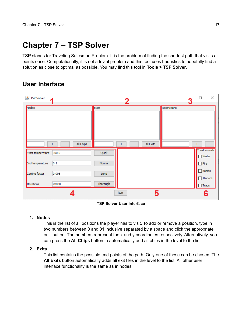# <span id="page-16-1"></span>**Chapter 7 – TSP Solver**

TSP stands for Traveling Salesman Problem. It is the problem of finding the shortest path that visits all points once. Computationally, it is not a trivial problem and this tool uses heuristics to hopefully find a solution as close to optimal as possible. You may find this tool in **Tools > TSP Solver**.

# <span id="page-16-0"></span>**User Interface**

| <b>多 TSP Solver</b> | и                               |              | 2              |           | 3            | ×<br>$\Box$                                        |
|---------------------|---------------------------------|--------------|----------------|-----------|--------------|----------------------------------------------------|
| Nodes               |                                 | <b>Exits</b> |                |           | Restrictions |                                                    |
| Start temperature   | All Chips<br>$\ddot{}$<br>100.0 | Quick        | $\ddot{}$<br>۰ | All Exits |              | $\ddot{}$<br><b>Treat as walls</b><br>$\Box$ Water |
| End temperature     | 0.1                             | Normal       |                |           |              | $\Box$ Fire                                        |
| Cooling factor      | 0.995                           | Long         |                |           |              | $\Box$ Bombs<br>$\Box$ Thieves                     |
| Iterations          | 20000                           | Thorough     |                |           |              | $\Box$ Traps                                       |
|                     |                                 |              | <b>Run</b>     | 5         |              | 6                                                  |

#### **TSP Solver User Interface**

#### **1. Nodes**

This is the list of all positions the player has to visit. To add or remove a position, type in two numbers between 0 and 31 inclusive separated by a space and click the appropriate **+** or **–** button. The numbers represent the x and y coordinates respectively. Alternatively, you can press the **All Chips** button to automatically add all chips in the level to the list.

#### **2. Exits**

This list contains the possible end points of the path. Only one of these can be chosen. The **All Exits** button automatically adds all exit tiles in the level to the list. All other user interface functionality is the same as in nodes.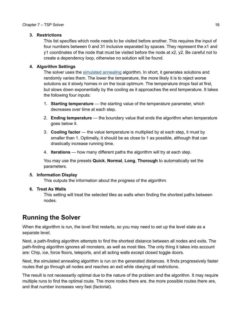#### **3. Restrictions**

This list specifies which node needs to be visited before another. This requires the input of four numbers between 0 and 31 inclusive separated by spaces. They represent the x1 and  $y1$  coordinates of the node that must be visited before the node at x2,  $y2$ . Be careful not to create a dependency loop, otherwise no solution will be found.

#### **4. Algorithm Settings**

The solver uses the [simulated annealing](https://en.wikipedia.org/wiki/Simulated_annealing) algorithm. In short, it generates solutions and randomly varies them. The lower the temperature, the more likely it is to reject worse solutions as it slowly homes in on the local optimum. The temperature drops fast at first, but slows down exponentially by the cooling as it approaches the end temperature. It takes the following four inputs:

- 1. **Starting temperature** the starting value of the temperature parameter, which decreases over time at each step.
- 2. **Ending temperature** the boundary value that ends the algorithm when temperature goes below it.
- 3. **Cooling factor** the value temperature is multiplied by at each step, it must by smaller than 1. Optimally, it should be as close to 1 as possible, although that can drastically increase running time.
- 4. **Iterations** how many different paths the algorithm will try at each step.

You may use the presets **Quick**, **Normal**, **Long**, **Thorough** to automatically set the parameters.

#### **5. Information Display**

This outputs the information about the progress of the algorithm.

#### **6. Treat As Walls**

This setting will treat the selected tiles as walls when finding the shortest paths between nodes.

# <span id="page-17-0"></span>**Running the Solver**

When the algorithm is run, the level first restarts, so you may need to set up the level state as a separate level.

Next, a path-finding algorithm attempts to find the shortest distance between all nodes and exits. The path-finding algorithm ignores all monsters, as well as most tiles. The only thing it takes into account are: Chip, ice, force floors, teleports, and all acting walls except closed toggle doors.

Next, the simulated annealing algorithm is run on the generated distances. It finds progressively faster routes that go through all nodes and reaches an exit while obeying all restrictions.

The result is not necessarily optimal due to the nature of the problem and the algorithm. It may require multiple runs to find the optimal route. The more nodes there are, the more possible routes there are, and that number increases very fast (factorial).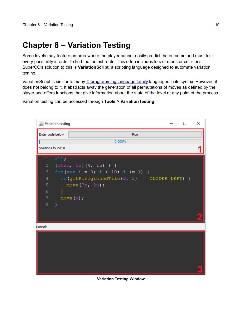# <span id="page-18-0"></span>**Chapter 8 – Variation Testing**

Some levels may feature an area where the player cannot easily predict the outcome and must test every possibility in order to find the fastest route. This often includes lots of monster collisions. SuperCC's solution to this is **VariationScript**, a scripting language designed to automate variation testing.

VariationScript is similar to many [C programming language family](https://en.wikipedia.org/wiki/Category:C_programming_language_family) languages in its syntax. However, it does not belong to it. It abstracts away the generation of all permutations of moves as defined by the player and offers functions that give information about the state of the level at any point of the process.

Variation testing can be accessed through **Tools > Variation testing**.

|                | <b><i>Le Variation testing</i></b> |                                                | П | × |  |  |
|----------------|------------------------------------|------------------------------------------------|---|---|--|--|
|                | Enter code below<br>Run            |                                                |   |   |  |  |
|                |                                    | 0.000%                                         |   |   |  |  |
|                | Solutions found: 0                 |                                                |   |   |  |  |
| $\mathbf{1}$   | all;                               |                                                |   |   |  |  |
| $\overline{2}$ |                                    | $[10ud, 5w]$ $(4, 15)$ $\{ \}$                 |   |   |  |  |
|                |                                    | 3 for (var i = $0$ ; i < 10; i += 1) {         |   |   |  |  |
| $4^{\circ}$    |                                    | if(getForegroundTile(3, 3) == $GLIDER$ LEFT) { |   |   |  |  |
| $5 -$          |                                    | move $(7r, 2u)$ ;                              |   |   |  |  |
| 6              | $\longrightarrow$                  |                                                |   |   |  |  |
|                |                                    | $7$ move (w);                                  |   |   |  |  |
|                | $8 \rightarrow$                    |                                                |   |   |  |  |
|                |                                    |                                                |   |   |  |  |
|                |                                    |                                                |   |   |  |  |
| Console        |                                    |                                                |   |   |  |  |
|                |                                    |                                                |   |   |  |  |
|                |                                    |                                                |   |   |  |  |
|                |                                    |                                                |   |   |  |  |
|                |                                    |                                                |   |   |  |  |
|                |                                    |                                                |   |   |  |  |
|                |                                    |                                                |   |   |  |  |
|                |                                    |                                                |   |   |  |  |

#### **Variation Testing Window**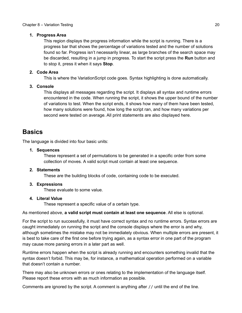#### **1. Progress Area**

This region displays the progress information while the script is running. There is a progress bar that shows the percentage of variations tested and the number of solutions found so far. Progress isn't necessarily linear, as large branches of the search space may be discarded, resulting in a jump in progress. To start the script press the **Run** button and to stop it, press it when it says **Stop**.

#### **2. Code Area**

This is where the VariationScript code goes. Syntax highlighting is done automatically.

#### **3. Console**

This displays all messages regarding the script. It displays all syntax and runtime errors encountered in the code. When running the script, it shows the upper bound of the number of variations to test. When the script ends, it shows how many of them have been tested, how many solutions were found, how long the script ran, and how many variations per second were tested on average. All print statements are also displayed here.

## <span id="page-19-0"></span>**Basics**

The language is divided into four basic units:

#### **1. Sequences**

These represent a set of permutations to be generated in a specific order from some collection of moves. A valid script must contain at least one sequence.

#### **2. Statements**

These are the building blocks of code, containing code to be executed.

#### **3. Expressions**

These evaluate to some value.

#### **4. Literal Value**

These represent a specific value of a certain type.

As mentioned above, **a valid script must contain at least one sequence**. All else is optional.

For the script to run successfully, it must have correct syntax and no runtime errors. Syntax errors are caught immediately on running the script and the console displays where the error is and why, although sometimes the mistake may not be immediately obvious. When multiple errors are present, it is best to take care of the first one before trying again, as a syntax error in one part of the program may cause more parsing errors in a later part as well.

Runtime errors happen when the script is already running and encounters something invalid that the syntax doesn't forbid. This may be, for instance, a mathematical operation performed on a variable that doesn't contain a number.

There may also be unknown errors or ones relating to the implementation of the language itself. Please report these errors with as much information as possible.

Comments are ignored by the script. A comment is anything after // until the end of the line.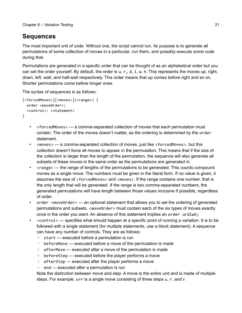# <span id="page-20-0"></span>**Sequences**

The most important unit of code. Without one, the script cannot run. Its purpose is to generate all permutations of some collection of moves in a particular, run them, and possibly execute some code during that.

Permutations are generated in a specific order that can be thought of as an alphabetical order but you can set the order yourself. By default, the order is  $u, r, d, 1, w, h$ . This represents the moves up, right, down, left, wait, and half-wait respectively. This order means that up comes before right and so on. Shorter permutations come before longer ones.

The syntax of sequences is as follows:

```
[<forcedMoves>][<moves>](<range>) {
   order <moveOrder>;
   <control>: <statement>
}
```
- <forcedMoves> a comma-separated collection of moves that each permutation must contain. The order of the moves doesn't matter, as the ordering is determined by the order statement.
- <moves> a comma-separated collection of moves, just like <forcedMoves>, but this collection doesn't force all moves to appear in the permutation. This means that if the size of the collection is larger than the length of the permutation, the sequence will also generate all subsets of these moves in the same order as the permutations are generated in.
- < range> the range of lengths of the permutations to be generated. This counts compound moves as a single move. The numbers must be given in the literal form. If no value is given, it assumes the size of <forcedMoves> and <moves>. If the range contains one number, that is the only length that will be generated. If the range is two comma-separated numbers, the generated permutations will have length between those values inclusive if possible, regardless of order.
- order <moveOrder> an optional statement that allows you to set the ordering of generated permutations and subsets. <move0rder> must contain each of the six types of moves exactly once in the order you want. An absence of this statement implies an order urdlwh;
- <control> specifies what should happen at a specific point of running a variation. It is to be followed with a single statement (for multiple statements, use a block statement). A sequence can have any number of controls. They are as follows:
	- start executed before a permutation is run
	- beforeMove executed before a move of the permutation is made
	- afterMove executed after a move of the permutation is made
	- beforeStep executed before the player performs a move
	- afterStep executed after the player performs a move
	- end executed after a permutation is run

Note the distinction between move and step. A move is the entire unit and is made of multiple steps. For example, urr is a single move consisting of three steps u, r, and r.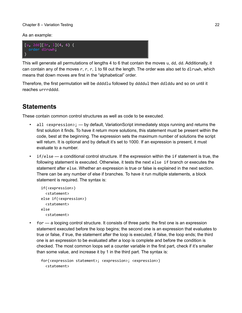#### Chapter 8 – Variation Testing 22

As an example:



This will generate all permutations of lengths 4 to 6 that contain the moves u, dd, dd. Additionally, it can contain any of the moves r, r, r, 1 to fill out the length. The order was also set to dlruwh, which means that down moves are first in the "alphabetical" order.

Therefore, the first permutation will be ddddlu followed by ddddul then ddlddu and so on until it reaches urrrdddd.

# <span id="page-21-0"></span>**Statements**

These contain common control structures as well as code to be executed.

- all <expression>; by default, VariationScript immediately stops running and returns the first solution it finds. To have it return more solutions, this statement must be present within the code, best at the beginning. The expression sets the maximum number of solutions the script will return. It is optional and by default it's set to 1000. If an expression is present, it must evaluate to a number.
- if/else a conditional control structure. If the expression within the if statement is true, the following statement is executed. Otherwise, it tests the next else if branch or executes the statement after else. Whether an expression is true or false is explained in the next section. There can be any number of else if branches. To have it run multiple statements, a block statement is required. The syntax is:

```
 if(<expression>)
   <statement>
 else if(<expression>)
   <statement>
 else
   <statement>
```
• for — a looping control structure. It consists of three parts: the first one is an expression statement executed before the loop begins; the second one is an expression that evaluates to true or false, if true, the statement after the loop is executed, if false, the loop ends; the third one is an expression to be evaluated after a loop is complete and before the condition is checked. The most common loops set a counter variable in the first part, check if it's smaller than some value, and increase it by 1 in the third part. The syntax is:

```
 for(<expression statement>; <expression>; <expression>)
   <statement>
```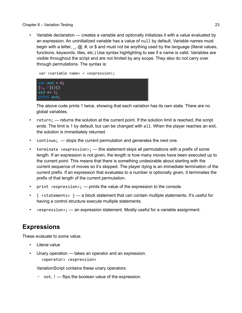asd  $+= 1;$ print asd;

• Variable declaration — creates a variable and optionally initializes it with a value evaluated by an expression. An uninitialized variable has a value of null by default. Variable names must begin with a letter,  $\theta$ ,  $\hat{\omega}$ , #, or \$ and must not be anything used by the language (literal values, functions, keywords, tiles, etc.) Use syntax highlighting to see if a name is valid. Variables are visible throughout the script and are not limited by any scope. They also do not carry over through permutations. The syntax is:

```
 var <variable name> = <expression>;
var asd = 0;[u, r](\}
```
The above code prints 1 twice, showing that each variation has its own state. There are no global variables.

- return; returns the solution at the current point. If the solution limit is reached, the script ends. The limit is 1 by default, but can be changed with all. When the player reaches an exit, the solution is immediately returned.
- continue; stops the current permutation and generates the next one.
- terminate  $\langle$  expression>;  $\rangle$  this statement skips all permutations with a prefix of some length. If an expression is not given, the length is how many moves have been executed up to the current point. This means that there is something undesirable about starting with the current sequence of moves so it's skipped. The player dying is an immediate termination of the current prefix. If an expression that evaluates to a number is optionally given, it terminates the prefix of that length of the current permutation.
- print <expression>;  $-$  prints the value of the expression to the console.
- $\{$  <statements>  $\}$   $-$  a block statement that can contain multiple statements. It's useful for having a control structure execute multiple statements.
- <expression>; an expression statement. Mostly useful for a variable assignment.

# <span id="page-22-0"></span>**Expressions**

These evaluate to some value.

- Literal value
- Unary operation takes an operator and an expression. <operator> <expression>

VariationScript contains these unary operators:

◦ not, ! — flips the boolean value of the expression.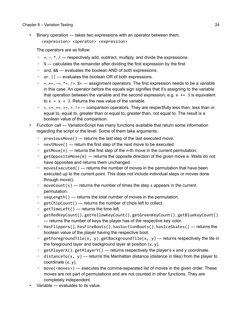• Binary operation — takes two expressions with an operator between them. <expression> <operator> <expression>

The operators are as follow:

- $\circ$  +,  $\circ$ ,  $\ast$ ,  $\prime$  respectively add, subtract, multiply, and divide the expressions.
- % calculates the remainder after dividing the first expression by the first.
- and, && evaluates the boolean AND of both expressions.
- or, || evaluates the boolean OR of both expressions.
- $\circ$  =, +=, -=, \*=, /=, %= assignment operators. The first expression needs to be a variable in this case. An operator before the equals sign signifies that it's assigning to the variable that operation between the variable and the second expression, e.g.  $x \leftarrow 3$  is equivalent to  $x = x + 3$ . Returns the new value of the variable.
- $\circ$   $\leq$ ,  $\leq$  =,  $\leq$  =  $\leq$ ,  $\geq$ ,  $\leq$  =  $\sim$  comparison operators. They are respectfully less than, less than or equal to, equal to, greater than or equal to, greater than, not equal to. The result is a boolean value of the comparison.
- Function call VariationScript has many functions available that return some information regarding the script or the level. Some of them take arguments.
	- previousMove() returns the last step of the last executed move.
	- nextMove() return the first step of the next move to be executed.
	- $\degree$  getMove(n) returns the first step of the n-th move in the current permutation.
	- getOppositeMove(m) returns the opposite direction of the given move m. Waits do not have opposites and returns them unchanged.
	- movesExecuted() returns the number of moves in the permutation that have been executed up to the current point. This does not include individual steps or moves done through move().
	- $\circ$  moveCount(s) returns the number of times the step s appears in the current permutation.
	- seqLength() returns the total number of moves in the permutation.
	- getChipCount() returns the number of chips left to collect.
	- $\circ$  getTimeLeft() returns the time left.
	- getRedKeyCount(), getYellowKeyCount(), getGreenKeyCount(), getBlueKeyCount() — returns the number of keys the player has of the respective key color.
	- HasFlippers(), hasFireBoots(), hasSuctionBoots(), hasIceSkates() returns the boolean value of the player having the respective boot.
	- $\circ$  getForegroundTile(x, y), getBackgroundTile(x, y) returns respectively the tile in the foreground layer and background layer at position  $(x, y)$ .
	- getPlayerX(), getPlayerY() returns respectively the player's x and y coordinate.
	- $\circ$  distanceTo(x, y) returns the Manhattan distance (distance in tiles) from the player to coordinate (x, y).
	- $\degree$  move(<moves>) executes the comma-separated list of moves in the given order. These moves are not part of permutations and are not counted in other functions. They are completely independent.
- Variable evaluates to its value.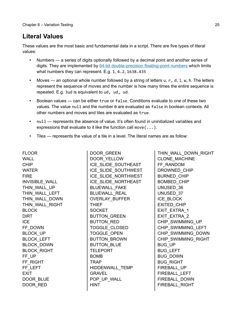# <span id="page-24-0"></span>**Literal Values**

These values are the most basic and fundamental data in a script. There are five types of literal values:

- Numbers a series of digits optionally followed by a decimal point and another series of digits. They are implemented by [64-bit double-precision floating-point numbers](https://en.wikipedia.org/wiki/Double-precision_floating-point_format) which limits what numbers they can represent. E.g. 1, 4.2, 1638.435
- Moves an optional whole number followed by a string of letters  $u, r, d, 1, w, h$ . The letters represent the sequence of moves and the number is how many times the entire sequence is repeated. E.g. 3ud is equivalent to ud, ud, ud.
- Boolean values can be either true or false. Conditions evaluate to one of these two values. The value null and the number 0 are evaluated as false in boolean contexts. All other numbers and moves and tiles are evaluated as true.
- null represents the absence of value. It's often found in uninitialized variables and expressions that evaluate to it like the function call move(...).
- Tiles represents the value of a tile in a level. The literal names are as follow:

FLOOR WALL CHIP WATER FIRE INVISIBLE\_WALL THIN WALL UP THIN\_WALL\_LEFT THIN\_WALL\_DOWN THIN\_WALL\_RIGHT BLOCK DIRT ICE FF\_DOWN BLOCK\_UP BLOCK\_LEFT BLOCK\_DOWN BLOCK\_RIGHT FF\_UP FF\_RIGHT FF\_LEFT **EXIT** DOOR BLUE DOOR\_RED

DOOR\_GREEN DOOR\_YELLOW ICE\_SLIDE\_SOUTHEAST ICE\_SLIDE\_SOUTHWEST ICE\_SLIDE\_NORTHWEST ICE\_SLIDE\_NORTHEAST BLUEWALL\_FAKE BLUEWALL\_REAL OVERLAY\_BUFFER THIEF **SOCKET** BUTTON\_GREEN BUTTON\_RED TOGGLE\_CLOSED TOGGLE\_OPEN BUTTON\_BROWN BUTTON\_BLUE TELEPORT BOMB TRAP HIDDENWALL\_TEMP GRAVEL POP\_UP\_WALL HINT

THIN\_WALL\_DOWN\_RIGHT CLONE\_MACHINE FF\_RANDOM DROWNED\_CHIP BURNED\_CHIP BOMBED\_CHIP UNUSED\_36 UNUSED\_37 ICE\_BLOCK EXITED\_CHIP EXIT\_EXTRA\_1 EXIT\_EXTRA\_2 CHIP\_SWIMMING\_UP CHIP\_SWIMMING\_LEFT CHIP\_SWIMMING\_DOWN CHIP\_SWIMMING\_RIGHT BUG\_UP BUG\_LEFT BUG\_DOWN BUG\_RIGHT FIREBALL\_UP FIREBALL\_LEFT FIREBALL\_DOWN FIREBALL\_RIGHT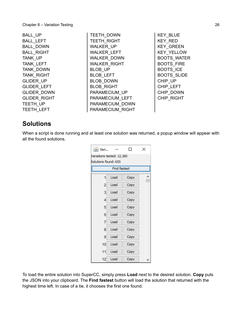| BALL UP             |
|---------------------|
| <b>BALL LEFT</b>    |
| <b>BALL DOWN</b>    |
| <b>BALL RIGHT</b>   |
| <b>TANK UP</b>      |
| <b>TANK LEFT</b>    |
| <b>TANK DOWN</b>    |
| <b>TANK RIGHT</b>   |
| <b>GLIDER UP</b>    |
| <b>GLIDER LEFT</b>  |
| <b>GLIDER DOWN</b>  |
| <b>GLIDER RIGHT</b> |
| <b>TEETH UP</b>     |
| <b>TEETH LEFT</b>   |

TEETH\_DOWN TEETH\_RIGHT WALKER UP WALKER\_LEFT WALKER\_DOWN WALKER\_RIGHT BLOB UP BLOB\_LEFT BLOB\_DOWN BLOB\_RIGHT PARAMECIUM\_UP PARAMECIUM\_LEFT PARAMECIUM\_DOWN PARAMECIUM\_RIGHT

KEY\_BLUE KEY\_RED KEY GREEN KEY\_YELLOW BOOTS\_WATER BOOTS\_FIRE BOOTS\_ICE BOOTS\_SLIDE CHIP\_UP CHIP\_LEFT CHIP\_DOWN CHIP\_RIGHT

### <span id="page-25-0"></span>**Solutions**

When a script is done running and at least one solution was returned, a popup window will appear with all the found solutions.

|                           |                      |      | × |  |  |  |  |
|---------------------------|----------------------|------|---|--|--|--|--|
| Variations tested: 12,360 |                      |      |   |  |  |  |  |
|                           | Solutions found: 655 |      |   |  |  |  |  |
|                           | Find fastest         |      |   |  |  |  |  |
| 1                         | Load                 | Copy |   |  |  |  |  |
| 2                         | Load                 | Copy |   |  |  |  |  |
| 3                         | Load                 | Copy |   |  |  |  |  |
| 4                         | Load                 | Copy |   |  |  |  |  |
| 5                         | Load                 | Copy |   |  |  |  |  |
| 6                         | Load                 | Copy |   |  |  |  |  |
| 7                         | Load                 | Copy |   |  |  |  |  |
| 8                         | Load                 | Copy |   |  |  |  |  |
| 9                         | Load                 | Copy |   |  |  |  |  |
| 10                        | Load                 | Copy |   |  |  |  |  |
| 11                        | Load                 | Copy |   |  |  |  |  |
| 12                        | Load                 | Copy |   |  |  |  |  |

To load the entire solution into SuperCC, simply press **Load** next to the desired solution. **Copy** puts the JSON into your clipboard. The **Find fastest** button will load the solution that returned with the highest time left. In case of a tie, it chooses the first one found.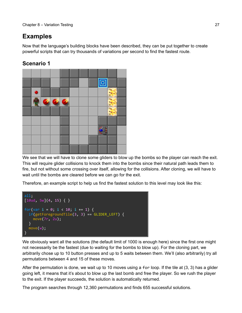# <span id="page-26-0"></span>**Examples**

Now that the language's building blocks have been described, they can be put together to create powerful scripts that can try thousands of variations per second to find the fastest route.

## **Scenario 1**



We see that we will have to clone some gliders to blow up the bombs so the player can reach the exit. This will require glider collisions to knock them into the bombs since their natural path leads them to fire, but not without some crossing over itself, allowing for the collisions. After cloning, we will have to wait until the bombs are cleared before we can go for the exit.

Therefore, an example script to help us find the fastest solution to this level may look like this:



We obviously want all the solutions (the default limit of 1000 is enough here) since the first one might not necessarily be the fastest (due to waiting for the bombs to blow up). For the cloning part, we arbitrarily chose up to 10 button presses and up to 5 waits between them. We'll (also arbitrarily) try all permutations between 4 and 15 of these moves.

After the permutation is done, we wait up to 10 moves using a for loop. If the tile at (3, 3) has a glider going left, it means that it's about to blow up the last bomb and free the player. So we rush the player to the exit. If the player succeeds, the solution is automatically returned.

The program searches through 12,360 permutations and finds 655 successful solutions.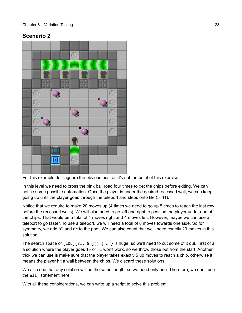### **Scenario 2**



For this example, let's ignore the obvious bust as it's not the point of this exercise.

In this level we need to cross the pink ball road four times to get the chips before exiting. We can notice some possible automation. Once the player is under the desired recessed wall, we can keep going up until the player goes through the teleport and steps onto tile (5, 11).

Notice that we require to make 20 moves up (4 times we need to go up 5 times to reach the last row before the recessed walls). We will also need to go left and right to position the player under one of the chips. That would be a total of 4 moves right and 4 moves left. However, maybe we can use a teleport to go faster. To use a teleport, we will need a total of 8 moves towards one side. So for symmetry, we add 8l and 8r to the pool. We can also count that we'll need exactly 29 moves in this solution.

The search space of  $\lceil 20u \rceil \lceil 81, 8r \rceil$  () { ... } is huge, so we'll need to cut some of it out. First of all, a solution where the player goes 1r or r1 won't work, so we throw those out from the start. Another trick we can use is make sure that the player takes exactly 5 up moves to reach a chip, otherwise it means the player hit a wall between the chips. We discard these solutions.

We also see that any solution will be the same length, so we need only one. Therefore, we don't use the all; statement here.

With all these considerations, we can write up a script to solve this problem.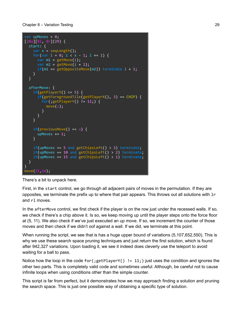```
var upMoves = 0;[20u][8l, 8r](29) {
   start: {
    var x = \text{seqLength}();
    for(var i = 0; i < x - 1; i += 1) {
      var m1 = getMove(i);var m2 = getMove(i + 1);if(m1 == getOppositeMove(m2)) terminate i + 1; }
   }
   afterMove: {
    if(getPlayerY() \leq 5) {
      if(getForegroundTile(getPlayerX(), 3) == CHIP) {
         for(;getPlayerY() != 11;) {
           move(u);
         }
       }
     }
    if(\text{previousMove}() == u) {
      upMoves += 1; }
    if(upMoves == 5 and getChipsLeft() > 3) terminate;if(upMoves == 10 and getChipsLeft() > 2) terminate;if(upMoves == 15 and getChipsLeft() > 1) terminate;
   }
}
move(2l,2d);
```
There's a bit to unpack here.

First, in the start control, we go through all adjacent pairs of moves in the permutation. If they are opposites, we terminate the prefix up to where that pair appears. This throws out all solutions with  $1r$ and rl moves.

In the afterMove control, we first check if the player is on the row just under the recessed walls. If so, we check if there's a chip above it. Is so, we keep moving up until the player steps onto the force floor at (5, 11). We also check if we've just executed an up move. If so, we increment the counter of those moves and then check if we didn't oof against a wall. If we did, we terminate at this point.

When running the script, we see that is has a huge upper bound of variations (5,107,652,550). This is why we use these search space pruning techniques and just return the first solution, which is found after 942,327 variations. Upon loading it, we see it indeed does cleverly use the teleport to avoid waiting for a ball to pass.

Notice how the loop in the code for (;  $getPlayerY()$  != 11; ) just uses the condition and ignores the other two parts. This is completely valid code and sometimes useful. Although, be careful not to cause infinite loops when using conditions other than the simple counter.

This script is far from perfect, but it demonstrates how we may approach finding a solution and pruning the search space. This is just one possible way of obtaining a specific type of solution.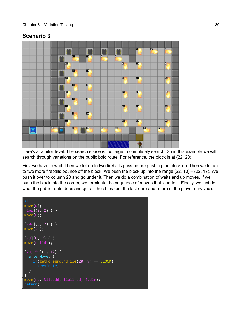### **Scenario 3**



Here's a familiar level. The search space is too large to completely search. So in this example we will search through variations on the public bold route. For reference, the block is at (22, 20).

First we have to wait. Then we let up to two fireballs pass before pushing the block up. Then we let up to two more fireballs bounce off the block. We push the block up into the range (22, 10) – (22, 17). We push it over to column 20 and go under it. Then we do a combination of waits and up moves. If we push the block into the corner, we terminate the sequence of moves that lead to it. Finally, we just do what the public route does and get all the chips (but the last one) and return (if the player survived).

```
all;
move(w);
[2WW](0, 2) { }
move(u);
[2ww](0, 2) { }
move(2u);
[7u](0, 7) { }
move(rulldl);
[7u, 5w](1, 12) {
   afterMove: {
     if(getForegroundTile(20, 9) == BLOCK)
       terminate;
   }
}
move(ru, 3lluudd, llullrud, 4ddlr);
return;
```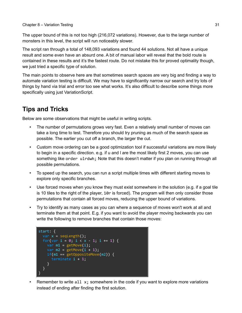#### Chapter 8 – Variation Testing 31

The upper bound of this is not too high (216,072 variations). However, due to the large number of monsters in this level, the script will run noticeably slower.

The script ran through a total of 148,093 variations and found 44 solutions. Not all have a unique result and some even have an absurd one. A bit of manual labor will reveal that the bold route is contained in these results and it's the fastest route. Do not mistake this for proved optimality though, we just tried a specific type of solution.

The main points to observe here are that sometimes search spaces are very big and finding a way to automate variation testing is difficult. We may have to significantly narrow our search and try lots of things by hand via trial and error too see what works. It's also difficult to describe some things more specifically using just VariationScript.

# <span id="page-30-0"></span>**Tips and Tricks**

Below are some observations that might be useful in writing scripts.

- The number of permutations grows very fast. Even a relatively small number of moves can take a long time to test. Therefore you should try pruning as much of the search space as possible. The earlier you cut off a branch, the larger the cut.
- Custom move ordering can be a good optimization tool if successful variations are more likely to begin in a specific direction. e.g. if u and l are the most likely first 2 moves, you can use something like order ulrdwh; Note that this doesn't matter if you plan on running through all possible permutations.
- To speed up the search, you can run a script multiple times with different starting moves to explore only specific branches.
- Use forced moves when you know they must exist somewhere in the solution (e.g. if a goal tile is 10 tiles to the right of the player, 10r is forced). The program will then only consider those permutations that contain all forced moves, reducing the upper bound of variations.
- Try to identify as many cases as you can where a sequence of moves won't work at all and terminate them at that point. E.g. if you want to avoid the player moving backwards you can write the following to remove branches that contain those moves:



• Remember to write all  $x$ ; somewhere in the code if you want to explore more variations instead of ending after finding the first solution.